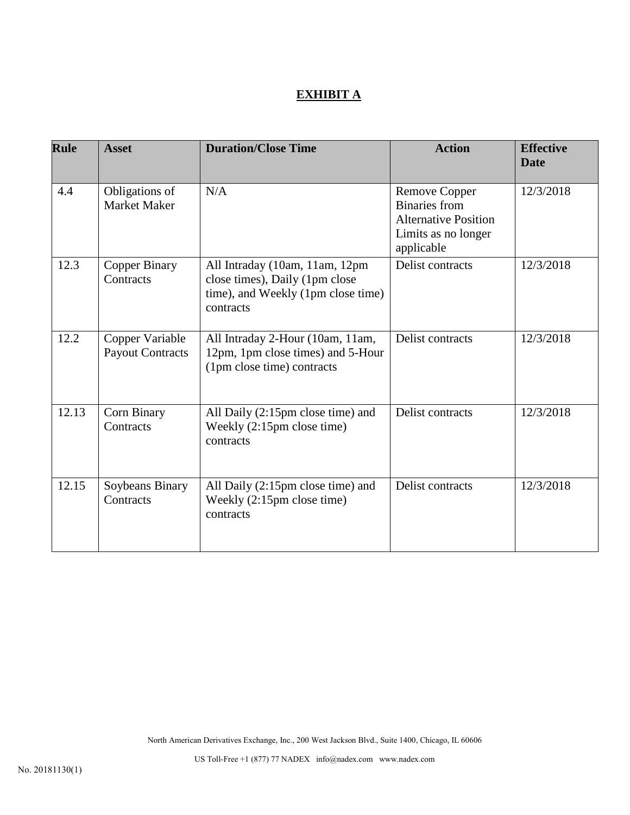# **EXHIBIT A**

| <b>Rule</b> | <b>Asset</b>                               | <b>Duration/Close Time</b>                                                                                          | <b>Action</b>                                                                                                    | <b>Effective</b><br><b>Date</b> |
|-------------|--------------------------------------------|---------------------------------------------------------------------------------------------------------------------|------------------------------------------------------------------------------------------------------------------|---------------------------------|
| 4.4         | Obligations of<br><b>Market Maker</b>      | N/A                                                                                                                 | <b>Remove Copper</b><br><b>Binaries</b> from<br><b>Alternative Position</b><br>Limits as no longer<br>applicable | 12/3/2018                       |
| 12.3        | <b>Copper Binary</b><br>Contracts          | All Intraday (10am, 11am, 12pm<br>close times), Daily (1pm close<br>time), and Weekly (1pm close time)<br>contracts | Delist contracts                                                                                                 | 12/3/2018                       |
| 12.2        | Copper Variable<br><b>Payout Contracts</b> | All Intraday 2-Hour (10am, 11am,<br>12pm, 1pm close times) and 5-Hour<br>(1pm close time) contracts                 | Delist contracts                                                                                                 | 12/3/2018                       |
| 12.13       | Corn Binary<br>Contracts                   | All Daily (2:15pm close time) and<br>Weekly (2:15pm close time)<br>contracts                                        | Delist contracts                                                                                                 | 12/3/2018                       |
| 12.15       | Soybeans Binary<br>Contracts               | All Daily (2:15pm close time) and<br>Weekly $(2:15pm$ close time)<br>contracts                                      | Delist contracts                                                                                                 | 12/3/2018                       |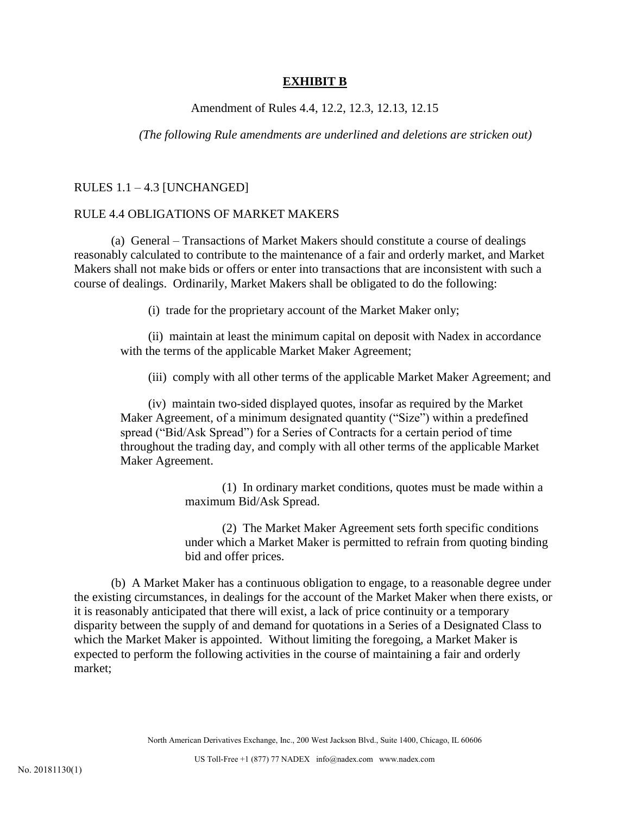### **EXHIBIT B**

## Amendment of Rules 4.4, 12.2, 12.3, 12.13, 12.15

#### *(The following Rule amendments are underlined and deletions are stricken out)*

### RULES 1.1 – 4.3 [UNCHANGED]

### RULE 4.4 OBLIGATIONS OF MARKET MAKERS

(a) General – Transactions of Market Makers should constitute a course of dealings reasonably calculated to contribute to the maintenance of a fair and orderly market, and Market Makers shall not make bids or offers or enter into transactions that are inconsistent with such a course of dealings. Ordinarily, Market Makers shall be obligated to do the following:

(i) trade for the proprietary account of the Market Maker only;

(ii) maintain at least the minimum capital on deposit with Nadex in accordance with the terms of the applicable Market Maker Agreement;

(iii) comply with all other terms of the applicable Market Maker Agreement; and

(iv) maintain two-sided displayed quotes, insofar as required by the Market Maker Agreement, of a minimum designated quantity ("Size") within a predefined spread ("Bid/Ask Spread") for a Series of Contracts for a certain period of time throughout the trading day, and comply with all other terms of the applicable Market Maker Agreement.

> (1) In ordinary market conditions, quotes must be made within a maximum Bid/Ask Spread.

(2) The Market Maker Agreement sets forth specific conditions under which a Market Maker is permitted to refrain from quoting binding bid and offer prices.

(b) A Market Maker has a continuous obligation to engage, to a reasonable degree under the existing circumstances, in dealings for the account of the Market Maker when there exists, or it is reasonably anticipated that there will exist, a lack of price continuity or a temporary disparity between the supply of and demand for quotations in a Series of a Designated Class to which the Market Maker is appointed. Without limiting the foregoing, a Market Maker is expected to perform the following activities in the course of maintaining a fair and orderly market;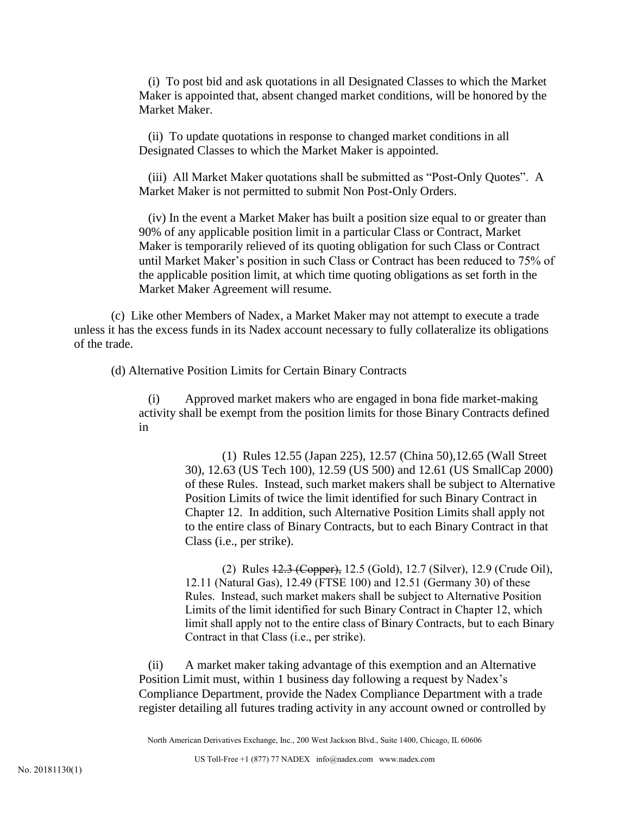(i) To post bid and ask quotations in all Designated Classes to which the Market Maker is appointed that, absent changed market conditions, will be honored by the Market Maker.

(ii) To update quotations in response to changed market conditions in all Designated Classes to which the Market Maker is appointed.

(iii) All Market Maker quotations shall be submitted as "Post-Only Quotes". A Market Maker is not permitted to submit Non Post-Only Orders.

(iv) In the event a Market Maker has built a position size equal to or greater than 90% of any applicable position limit in a particular Class or Contract, Market Maker is temporarily relieved of its quoting obligation for such Class or Contract until Market Maker's position in such Class or Contract has been reduced to 75% of the applicable position limit, at which time quoting obligations as set forth in the Market Maker Agreement will resume.

(c) Like other Members of Nadex, a Market Maker may not attempt to execute a trade unless it has the excess funds in its Nadex account necessary to fully collateralize its obligations of the trade.

(d) Alternative Position Limits for Certain Binary Contracts

(i) Approved market makers who are engaged in bona fide market-making activity shall be exempt from the position limits for those Binary Contracts defined in

> (1) Rules 12.55 (Japan 225), 12.57 (China 50),12.65 (Wall Street 30), 12.63 (US Tech 100), 12.59 (US 500) and 12.61 (US SmallCap 2000) of these Rules. Instead, such market makers shall be subject to Alternative Position Limits of twice the limit identified for such Binary Contract in Chapter 12. In addition, such Alternative Position Limits shall apply not to the entire class of Binary Contracts, but to each Binary Contract in that Class (i.e., per strike).

> (2) Rules 12.3 (Copper), 12.5 (Gold), 12.7 (Silver), 12.9 (Crude Oil), 12.11 (Natural Gas), 12.49 (FTSE 100) and 12.51 (Germany 30) of these Rules. Instead, such market makers shall be subject to Alternative Position Limits of the limit identified for such Binary Contract in Chapter 12, which limit shall apply not to the entire class of Binary Contracts, but to each Binary Contract in that Class (i.e., per strike).

(ii) A market maker taking advantage of this exemption and an Alternative Position Limit must, within 1 business day following a request by Nadex's Compliance Department, provide the Nadex Compliance Department with a trade register detailing all futures trading activity in any account owned or controlled by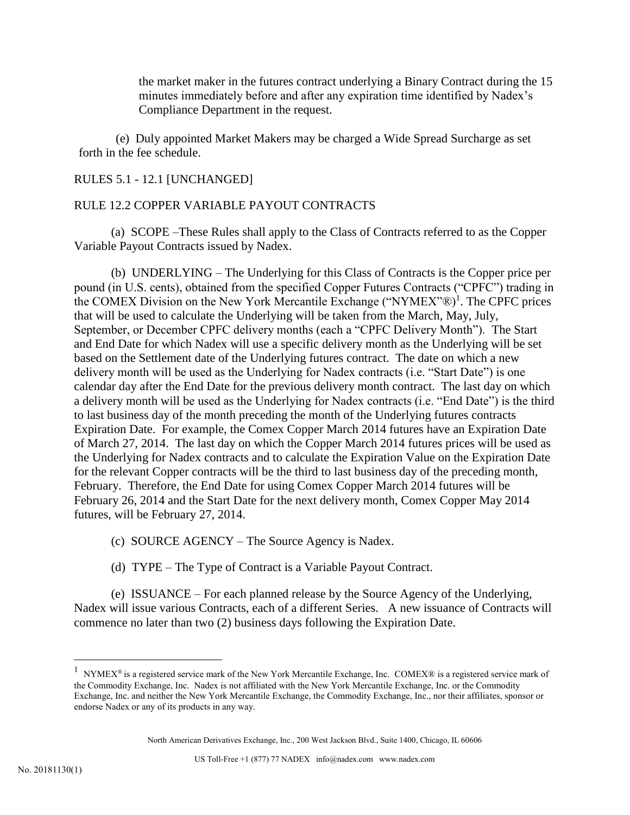the market maker in the futures contract underlying a Binary Contract during the 15 minutes immediately before and after any expiration time identified by Nadex's Compliance Department in the request.

(e) Duly appointed Market Makers may be charged a Wide Spread Surcharge as set forth in the fee schedule.

## RULES 5.1 - 12.1 [UNCHANGED]

## RULE 12.2 COPPER VARIABLE PAYOUT CONTRACTS

(a) SCOPE –These Rules shall apply to the Class of Contracts referred to as the Copper Variable Payout Contracts issued by Nadex.

(b) UNDERLYING – The Underlying for this Class of Contracts is the Copper price per pound (in U.S. cents), obtained from the specified Copper Futures Contracts ("CPFC") trading in the COMEX Division on the New York Mercantile Exchange ("NYMEX"®)<sup>1</sup>. The CPFC prices that will be used to calculate the Underlying will be taken from the March, May, July, September, or December CPFC delivery months (each a "CPFC Delivery Month"). The Start and End Date for which Nadex will use a specific delivery month as the Underlying will be set based on the Settlement date of the Underlying futures contract. The date on which a new delivery month will be used as the Underlying for Nadex contracts (i.e. "Start Date") is one calendar day after the End Date for the previous delivery month contract. The last day on which a delivery month will be used as the Underlying for Nadex contracts (i.e. "End Date") is the third to last business day of the month preceding the month of the Underlying futures contracts Expiration Date. For example, the Comex Copper March 2014 futures have an Expiration Date of March 27, 2014. The last day on which the Copper March 2014 futures prices will be used as the Underlying for Nadex contracts and to calculate the Expiration Value on the Expiration Date for the relevant Copper contracts will be the third to last business day of the preceding month, February. Therefore, the End Date for using Comex Copper March 2014 futures will be February 26, 2014 and the Start Date for the next delivery month, Comex Copper May 2014 futures, will be February 27, 2014.

- (c) SOURCE AGENCY The Source Agency is Nadex.
- (d) TYPE The Type of Contract is a Variable Payout Contract.

(e) ISSUANCE – For each planned release by the Source Agency of the Underlying, Nadex will issue various Contracts, each of a different Series. A new issuance of Contracts will commence no later than two (2) business days following the Expiration Date.

<sup>&</sup>lt;sup>1</sup> NYMEX<sup>®</sup> is a registered service mark of the New York Mercantile Exchange, Inc. COMEX® is a registered service mark of the Commodity Exchange, Inc. Nadex is not affiliated with the New York Mercantile Exchange, Inc. or the Commodity Exchange, Inc. and neither the New York Mercantile Exchange, the Commodity Exchange, Inc., nor their affiliates, sponsor or endorse Nadex or any of its products in any way.

North American Derivatives Exchange, Inc., 200 West Jackson Blvd., Suite 1400, Chicago, IL 60606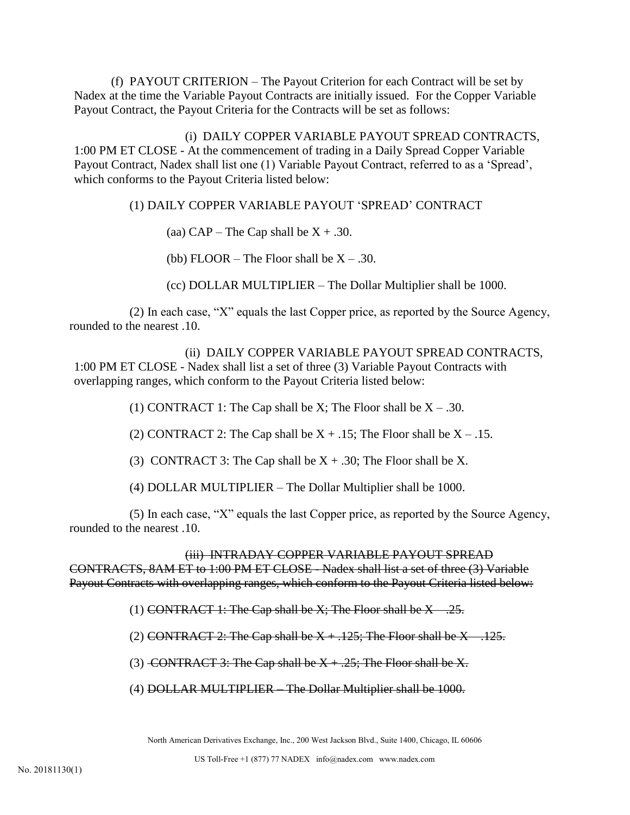(f) PAYOUT CRITERION – The Payout Criterion for each Contract will be set by Nadex at the time the Variable Payout Contracts are initially issued. For the Copper Variable Payout Contract, the Payout Criteria for the Contracts will be set as follows:

(i) DAILY COPPER VARIABLE PAYOUT SPREAD CONTRACTS, 1:00 PM ET CLOSE - At the commencement of trading in a Daily Spread Copper Variable Payout Contract, Nadex shall list one (1) Variable Payout Contract, referred to as a 'Spread', which conforms to the Payout Criteria listed below:

## (1) DAILY COPPER VARIABLE PAYOUT 'SPREAD' CONTRACT

(aa)  $CAP$  – The Cap shall be  $X + .30$ .

(bb) FLOOR – The Floor shall be  $X - .30$ .

(cc) DOLLAR MULTIPLIER – The Dollar Multiplier shall be 1000.

(2) In each case, "X" equals the last Copper price, as reported by the Source Agency, rounded to the nearest .10.

(ii) DAILY COPPER VARIABLE PAYOUT SPREAD CONTRACTS, 1:00 PM ET CLOSE - Nadex shall list a set of three (3) Variable Payout Contracts with overlapping ranges, which conform to the Payout Criteria listed below:

(1) CONTRACT 1: The Cap shall be X; The Floor shall be  $X - 0.30$ .

(2) CONTRACT 2: The Cap shall be  $X + .15$ ; The Floor shall be  $X - .15$ .

(3) CONTRACT 3: The Cap shall be  $X + .30$ ; The Floor shall be X.

(4) DOLLAR MULTIPLIER – The Dollar Multiplier shall be 1000.

(5) In each case, "X" equals the last Copper price, as reported by the Source Agency, rounded to the nearest .10.

#### (iii) INTRADAY COPPER VARIABLE PAYOUT SPREAD

CONTRACTS, 8AM ET to 1:00 PM ET CLOSE - Nadex shall list a set of three (3) Variable Payout Contracts with overlapping ranges, which conform to the Payout Criteria listed below:

(1) CONTRACT 1: The Cap shall be  $X$ ; The Floor shall be  $X - 25$ .

(2) CONTRACT 2: The Cap shall be  $X + 125$ ; The Floor shall be  $X - 125$ .

(3) CONTRACT 3: The Cap shall be  $X + .25$ ; The Floor shall be X.

(4) DOLLAR MULTIPLIER – The Dollar Multiplier shall be 1000.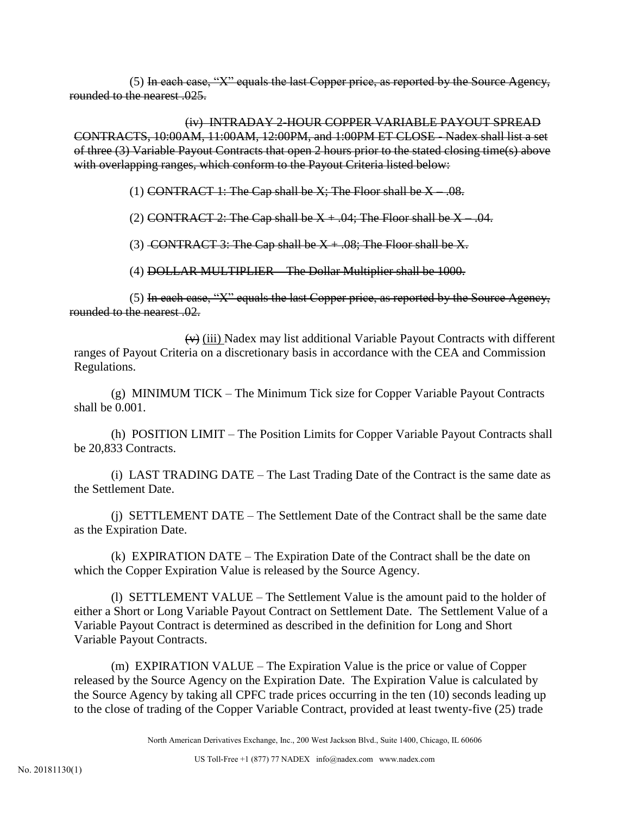(5) In each case, "X" equals the last Copper price, as reported by the Source Agency, rounded to the nearest .025.

(iv) INTRADAY 2-HOUR COPPER VARIABLE PAYOUT SPREAD CONTRACTS, 10:00AM, 11:00AM, 12:00PM, and 1:00PM ET CLOSE - Nadex shall list a set of three (3) Variable Payout Contracts that open 2 hours prior to the stated closing time(s) above with overlapping ranges, which conform to the Payout Criteria listed below:

(1) CONTRACT 1: The Cap shall be  $X$ ; The Floor shall be  $X - .08$ .

(2) CONTRACT 2: The Cap shall be  $X + .04$ ; The Floor shall be  $X - .04$ .

(3) CONTRACT 3: The Cap shall be  $X + .08$ ; The Floor shall be  $X$ .

(4) DOLLAR MULTIPLIER – The Dollar Multiplier shall be 1000.

(5) In each case, "X" equals the last Copper price, as reported by the Source Agency, rounded to the nearest .02.

 $\overline{(v)}$  (iii) Nadex may list additional Variable Payout Contracts with different ranges of Payout Criteria on a discretionary basis in accordance with the CEA and Commission Regulations.

(g) MINIMUM TICK – The Minimum Tick size for Copper Variable Payout Contracts shall be 0.001.

(h) POSITION LIMIT – The Position Limits for Copper Variable Payout Contracts shall be 20,833 Contracts.

(i) LAST TRADING DATE – The Last Trading Date of the Contract is the same date as the Settlement Date.

(j) SETTLEMENT DATE – The Settlement Date of the Contract shall be the same date as the Expiration Date.

(k) EXPIRATION DATE – The Expiration Date of the Contract shall be the date on which the Copper Expiration Value is released by the Source Agency.

(l) SETTLEMENT VALUE – The Settlement Value is the amount paid to the holder of either a Short or Long Variable Payout Contract on Settlement Date. The Settlement Value of a Variable Payout Contract is determined as described in the definition for Long and Short Variable Payout Contracts.

(m) EXPIRATION VALUE – The Expiration Value is the price or value of Copper released by the Source Agency on the Expiration Date. The Expiration Value is calculated by the Source Agency by taking all CPFC trade prices occurring in the ten (10) seconds leading up to the close of trading of the Copper Variable Contract, provided at least twenty-five (25) trade

North American Derivatives Exchange, Inc., 200 West Jackson Blvd., Suite 1400, Chicago, IL 60606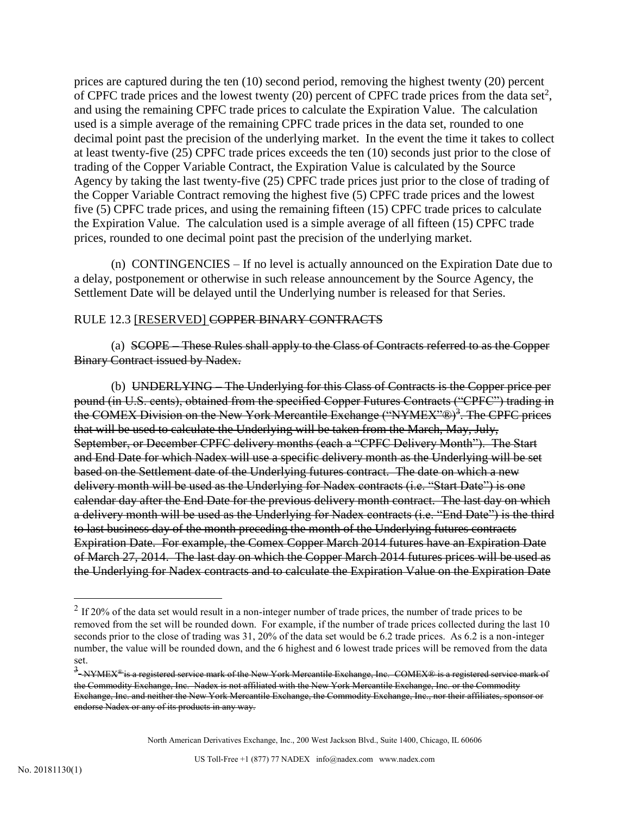prices are captured during the ten (10) second period, removing the highest twenty (20) percent of CPFC trade prices and the lowest twenty (20) percent of CPFC trade prices from the data set<sup>2</sup>, and using the remaining CPFC trade prices to calculate the Expiration Value. The calculation used is a simple average of the remaining CPFC trade prices in the data set, rounded to one decimal point past the precision of the underlying market. In the event the time it takes to collect at least twenty-five (25) CPFC trade prices exceeds the ten (10) seconds just prior to the close of trading of the Copper Variable Contract, the Expiration Value is calculated by the Source Agency by taking the last twenty-five (25) CPFC trade prices just prior to the close of trading of the Copper Variable Contract removing the highest five (5) CPFC trade prices and the lowest five (5) CPFC trade prices, and using the remaining fifteen (15) CPFC trade prices to calculate the Expiration Value. The calculation used is a simple average of all fifteen (15) CPFC trade prices, rounded to one decimal point past the precision of the underlying market.

(n) CONTINGENCIES – If no level is actually announced on the Expiration Date due to a delay, postponement or otherwise in such release announcement by the Source Agency, the Settlement Date will be delayed until the Underlying number is released for that Series.

#### RULE 12.3 [RESERVED] COPPER BINARY CONTRACTS

(a) SCOPE – These Rules shall apply to the Class of Contracts referred to as the Copper Binary Contract issued by Nadex.

(b) UNDERLYING – The Underlying for this Class of Contracts is the Copper price per pound (in U.S. cents), obtained from the specified Copper Futures Contracts ("CPFC") trading in the COMEX Division on the New York Mercantile Exchange ("NYMEX"®)<sup>3</sup>. The CPFC prices that will be used to calculate the Underlying will be taken from the March, May, July, September, or December CPFC delivery months (each a "CPFC Delivery Month"). The Start and End Date for which Nadex will use a specific delivery month as the Underlying will be set based on the Settlement date of the Underlying futures contract. The date on which a new delivery month will be used as the Underlying for Nadex contracts (i.e. "Start Date") is one calendar day after the End Date for the previous delivery month contract. The last day on which a delivery month will be used as the Underlying for Nadex contracts (i.e. "End Date") is the third to last business day of the month preceding the month of the Underlying futures contracts Expiration Date. For example, the Comex Copper March 2014 futures have an Expiration Date of March 27, 2014. The last day on which the Copper March 2014 futures prices will be used as the Underlying for Nadex contracts and to calculate the Expiration Value on the Expiration Date

 $2$  If 20% of the data set would result in a non-integer number of trade prices, the number of trade prices to be removed from the set will be rounded down. For example, if the number of trade prices collected during the last 10 seconds prior to the close of trading was 31, 20% of the data set would be 6.2 trade prices. As 6.2 is a non-integer number, the value will be rounded down, and the 6 highest and 6 lowest trade prices will be removed from the data set.

 $^3$ -NYMEX<sup>®</sup> is a registered service mark of the New York Mercantile Exchange, Inc. COMEX® is a registered service mark of the Commodity Exchange, Inc. Nadex is not affiliated with the New York Mercantile Exchange, Inc. or the Commodity Exchange, Inc. and neither the New York Mercantile Exchange, the Commodity Exchange, Inc., nor their affiliates, sponsor or endorse Nadex or any of its products in any way.

North American Derivatives Exchange, Inc., 200 West Jackson Blvd., Suite 1400, Chicago, IL 60606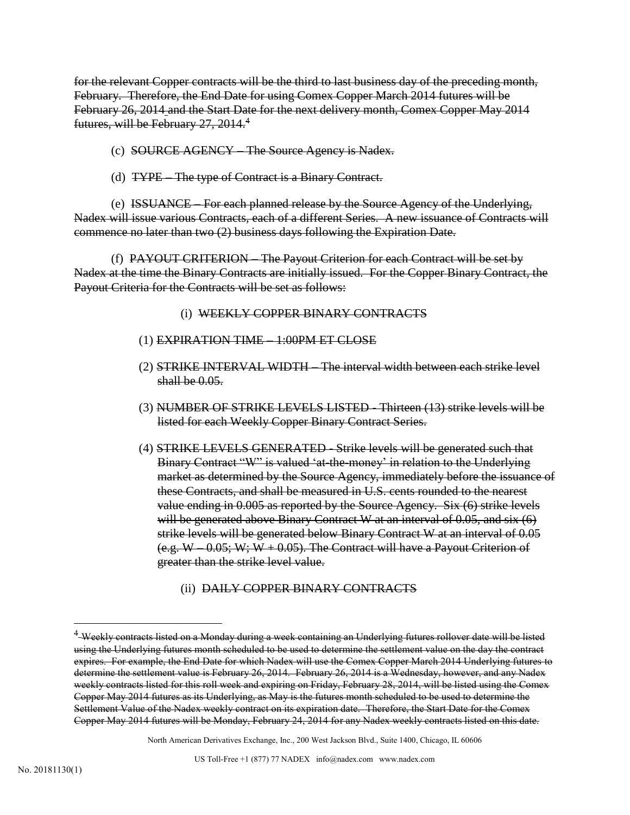for the relevant Copper contracts will be the third to last business day of the preceding month, February. Therefore, the End Date for using Comex Copper March 2014 futures will be February 26, 2014 and the Start Date for the next delivery month, Comex Copper May 2014 futures, will be February 27, 2014.<sup>4</sup>

- (c) SOURCE AGENCY The Source Agency is Nadex.
- (d) TYPE The type of Contract is a Binary Contract.

(e) ISSUANCE – For each planned release by the Source Agency of the Underlying, Nadex will issue various Contracts, each of a different Series. A new issuance of Contracts will commence no later than two (2) business days following the Expiration Date.

(f) PAYOUT CRITERION – The Payout Criterion for each Contract will be set by Nadex at the time the Binary Contracts are initially issued. For the Copper Binary Contract, the Payout Criteria for the Contracts will be set as follows:

- (i) WEEKLY COPPER BINARY CONTRACTS
- (1) EXPIRATION TIME 1:00PM ET CLOSE
- (2) STRIKE INTERVAL WIDTH The interval width between each strike level shall be  $0.05$ .
- (3) NUMBER OF STRIKE LEVELS LISTED Thirteen (13) strike levels will be listed for each Weekly Copper Binary Contract Series.
- (4) STRIKE LEVELS GENERATED Strike levels will be generated such that Binary Contract "W" is valued 'at-the-money' in relation to the Underlying market as determined by the Source Agency, immediately before the issuance of these Contracts, and shall be measured in U.S. cents rounded to the nearest value ending in 0.005 as reported by the Source Agency. Six (6) strike levels will be generated above Binary Contract W at an interval of 0.05, and six (6) strike levels will be generated below Binary Contract W at an interval of 0.05  $(e.g. W - 0.05; W; W + 0.05)$ . The Contract will have a Payout Criterion of greater than the strike level value.
	- (ii) DAILY COPPER BINARY CONTRACTS

<sup>&</sup>lt;sup>4</sup>-Weekly contracts listed on a Monday during a week containing an Underlying futures rollover date will be listed using the Underlying futures month scheduled to be used to determine the settlement value on the day the contract expires. For example, the End Date for which Nadex will use the Comex Copper March 2014 Underlying futures to determine the settlement value is February 26, 2014. February 26, 2014 is a Wednesday, however, and any Nadex weekly contracts listed for this roll week and expiring on Friday, February 28, 2014, will be listed using the Comex Copper May 2014 futures as its Underlying, as May is the futures month scheduled to be used to determine the Settlement Value of the Nadex weekly contract on its expiration date. Therefore, the Start Date for the Comex Copper May 2014 futures will be Monday, February 24, 2014 for any Nadex weekly contracts listed on this date.

North American Derivatives Exchange, Inc., 200 West Jackson Blvd., Suite 1400, Chicago, IL 60606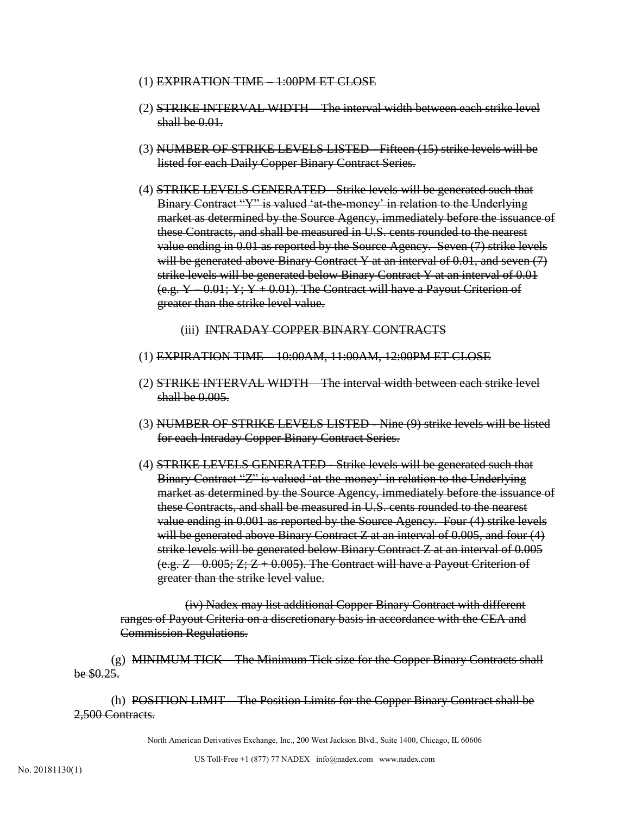- (1) EXPIRATION TIME 1:00PM ET CLOSE
- (2) STRIKE INTERVAL WIDTH The interval width between each strike level shall be 0.01.
- (3) NUMBER OF STRIKE LEVELS LISTED Fifteen (15) strike levels will be listed for each Daily Copper Binary Contract Series.
- (4) STRIKE LEVELS GENERATED Strike levels will be generated such that Binary Contract "Y" is valued 'at-the-money' in relation to the Underlying market as determined by the Source Agency, immediately before the issuance of these Contracts, and shall be measured in U.S. cents rounded to the nearest value ending in 0.01 as reported by the Source Agency. Seven (7) strike levels will be generated above Binary Contract Y at an interval of  $0.01$ , and seven  $(7)$ strike levels will be generated below Binary Contract Y at an interval of 0.01  $(e.g. Y - 0.01; Y; Y + 0.01)$ . The Contract will have a Payout Criterion of greater than the strike level value.
	- (iii) INTRADAY COPPER BINARY CONTRACTS
- (1) EXPIRATION TIME 10:00AM, 11:00AM, 12:00PM ET CLOSE
- (2) STRIKE INTERVAL WIDTH The interval width between each strike level shall be 0.005.
- (3) NUMBER OF STRIKE LEVELS LISTED Nine (9) strike levels will be listed for each Intraday Copper Binary Contract Series.
- (4) STRIKE LEVELS GENERATED Strike levels will be generated such that Binary Contract "Z" is valued 'at-the-money' in relation to the Underlying market as determined by the Source Agency, immediately before the issuance of these Contracts, and shall be measured in U.S. cents rounded to the nearest value ending in 0.001 as reported by the Source Agency. Four (4) strike levels will be generated above Binary Contract  $Z$  at an interval of 0.005, and four  $(4)$ strike levels will be generated below Binary Contract Z at an interval of 0.005  $(e.g. Z - 0.005; Z; Z + 0.005)$ . The Contract will have a Payout Criterion of greater than the strike level value.

(iv) Nadex may list additional Copper Binary Contract with different ranges of Payout Criteria on a discretionary basis in accordance with the CEA and Commission Regulations.

 $(g)$  MINIMUM TICK – The Minimum Tick size for the Copper Binary Contracts shall be \$0.25.

(h) POSITION LIMIT – The Position Limits for the Copper Binary Contract shall be 2,500 Contracts.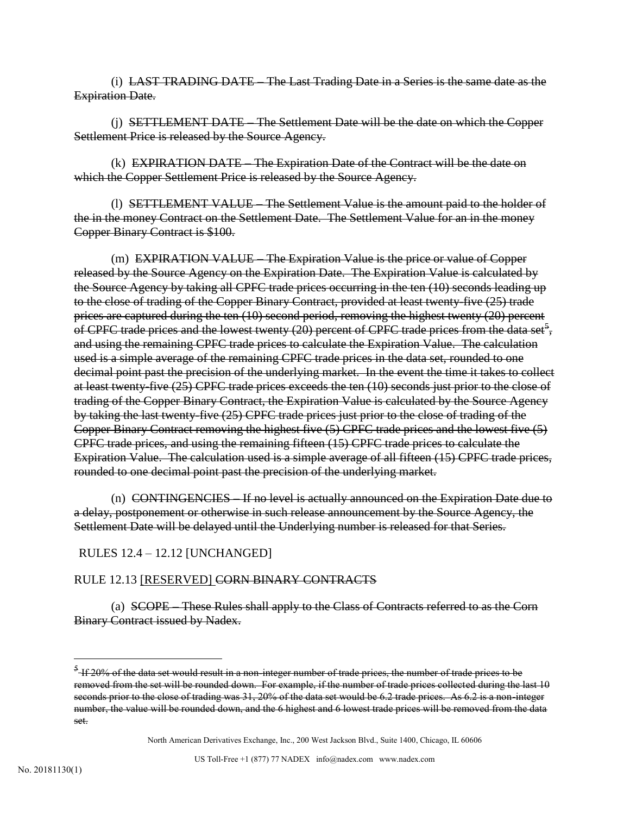(i) LAST TRADING DATE – The Last Trading Date in a Series is the same date as the Expiration Date.

(j) SETTLEMENT DATE – The Settlement Date will be the date on which the Copper Settlement Price is released by the Source Agency.

(k) EXPIRATION DATE – The Expiration Date of the Contract will be the date on which the Copper Settlement Price is released by the Source Agency.

(l) SETTLEMENT VALUE – The Settlement Value is the amount paid to the holder of the in the money Contract on the Settlement Date. The Settlement Value for an in the money Copper Binary Contract is \$100.

(m) EXPIRATION VALUE – The Expiration Value is the price or value of Copper released by the Source Agency on the Expiration Date. The Expiration Value is calculated by the Source Agency by taking all CPFC trade prices occurring in the ten (10) seconds leading up to the close of trading of the Copper Binary Contract, provided at least twenty-five (25) trade prices are captured during the ten (10) second period, removing the highest twenty (20) percent of CPFC trade prices and the lowest twenty  $(20)$  percent of CPFC trade prices from the data set<sup>5</sup>, and using the remaining CPFC trade prices to calculate the Expiration Value. The calculation used is a simple average of the remaining CPFC trade prices in the data set, rounded to one decimal point past the precision of the underlying market. In the event the time it takes to collect at least twenty-five (25) CPFC trade prices exceeds the ten (10) seconds just prior to the close of trading of the Copper Binary Contract, the Expiration Value is calculated by the Source Agency by taking the last twenty-five (25) CPFC trade prices just prior to the close of trading of the Copper Binary Contract removing the highest five (5) CPFC trade prices and the lowest five (5) CPFC trade prices, and using the remaining fifteen (15) CPFC trade prices to calculate the Expiration Value. The calculation used is a simple average of all fifteen (15) CPFC trade prices, rounded to one decimal point past the precision of the underlying market.

(n) CONTINGENCIES – If no level is actually announced on the Expiration Date due to a delay, postponement or otherwise in such release announcement by the Source Agency, the Settlement Date will be delayed until the Underlying number is released for that Series.

RULES 12.4 – 12.12 [UNCHANGED]

#### RULE 12.13 [RESERVED] CORN BINARY CONTRACTS

(a) SCOPE – These Rules shall apply to the Class of Contracts referred to as the Corn Binary Contract issued by Nadex.

<sup>&</sup>lt;sup>5</sup> If 20% of the data set would result in a non-integer number of trade prices, the number of trade prices to be removed from the set will be rounded down. For example, if the number of trade prices collected during the last 10 seconds prior to the close of trading was 31, 20% of the data set would be 6.2 trade prices. As 6.2 is a non-integer number, the value will be rounded down, and the 6 highest and 6 lowest trade prices will be removed from the data set.

North American Derivatives Exchange, Inc., 200 West Jackson Blvd., Suite 1400, Chicago, IL 60606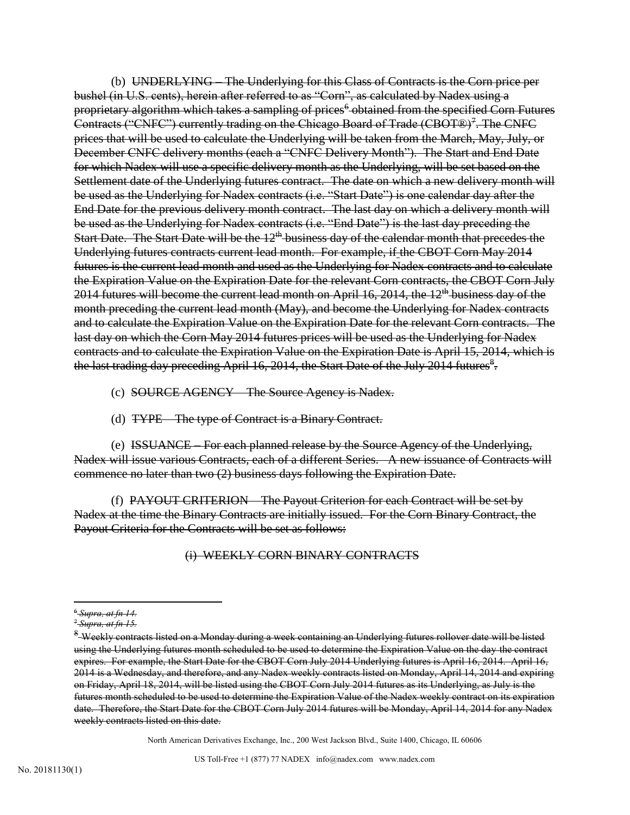(b) UNDERLYING – The Underlying for this Class of Contracts is the Corn price per bushel (in U.S. cents), herein after referred to as "Corn", as calculated by Nadex using a proprietary algorithm which takes a sampling of prices<sup>6</sup> obtained from the specified Corn Futures Contracts ("CNFC") currently trading on the Chicago Board of Trade (CBOT®)<sup>7</sup>. The CNFC prices that will be used to calculate the Underlying will be taken from the March, May, July, or December CNFC delivery months (each a "CNFC Delivery Month"). The Start and End Date for which Nadex will use a specific delivery month as the Underlying, will be set based on the Settlement date of the Underlying futures contract. The date on which a new delivery month will be used as the Underlying for Nadex contracts (i.e. "Start Date") is one calendar day after the End Date for the previous delivery month contract. The last day on which a delivery month will be used as the Underlying for Nadex contracts (i.e. "End Date") is the last day preceding the Start Date. The Start Date will be the  $12<sup>th</sup>$  business day of the calendar month that precedes the Underlying futures contracts current lead month. For example, if the CBOT Corn May 2014 futures is the current lead month and used as the Underlying for Nadex contracts and to calculate the Expiration Value on the Expiration Date for the relevant Corn contracts, the CBOT Corn July 2014 futures will become the current lead month on April 16, 2014, the  $12<sup>th</sup>$  business day of the month preceding the current lead month (May), and become the Underlying for Nadex contracts and to calculate the Expiration Value on the Expiration Date for the relevant Corn contracts. The last day on which the Corn May 2014 futures prices will be used as the Underlying for Nadex contracts and to calculate the Expiration Value on the Expiration Date is April 15, 2014, which is the last trading day preceding April 16, 2014, the Start Date of the July 2014 futures<sup>8</sup>.

(c) SOURCE AGENCY – The Source Agency is Nadex.

(d) TYPE – The type of Contract is a Binary Contract.

(e) ISSUANCE – For each planned release by the Source Agency of the Underlying, Nadex will issue various Contracts, each of a different Series. A new issuance of Contracts will commence no later than two (2) business days following the Expiration Date.

(f) PAYOUT CRITERION – The Payout Criterion for each Contract will be set by Nadex at the time the Binary Contracts are initially issued. For the Corn Binary Contract, the Payout Criteria for the Contracts will be set as follows:

(i) WEEKLY CORN BINARY CONTRACTS

 $\overline{a}$ <sup>6</sup> *Supra, at fn 14.*

<sup>7</sup> *Supra, at fn 15.*

<sup>&</sup>lt;sup>8</sup>-Weekly contracts listed on a Monday during a week containing an Underlying futures rollover date will be listed using the Underlying futures month scheduled to be used to determine the Expiration Value on the day the contract expires. For example, the Start Date for the CBOT Corn July 2014 Underlying futures is April 16, 2014. April 16, 2014 is a Wednesday, and therefore, and any Nadex weekly contracts listed on Monday, April 14, 2014 and expiring on Friday, April 18, 2014, will be listed using the CBOT Corn July 2014 futures as its Underlying, as July is the futures month scheduled to be used to determine the Expiration Value of the Nadex weekly contract on its expiration date. Therefore, the Start Date for the CBOT Corn July 2014 futures will be Monday, April 14, 2014 for any Nadex weekly contracts listed on this date.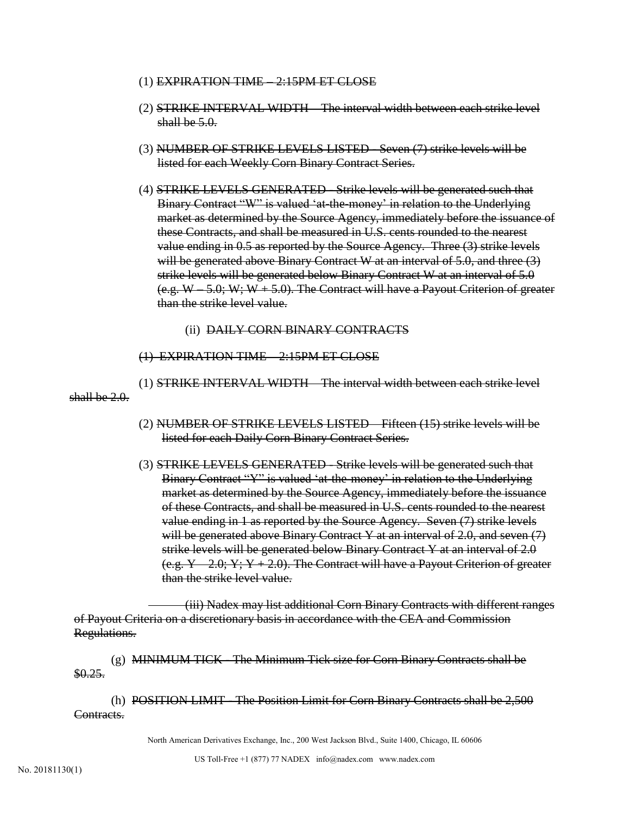- (1) EXPIRATION TIME 2:15PM ET CLOSE
- (2) STRIKE INTERVAL WIDTH The interval width between each strike level shall be 5.0.
- (3) NUMBER OF STRIKE LEVELS LISTED Seven (7) strike levels will be listed for each Weekly Corn Binary Contract Series.
- (4) STRIKE LEVELS GENERATED Strike levels will be generated such that Binary Contract "W" is valued 'at-the-money' in relation to the Underlying market as determined by the Source Agency, immediately before the issuance of these Contracts, and shall be measured in U.S. cents rounded to the nearest value ending in 0.5 as reported by the Source Agency. Three (3) strike levels will be generated above Binary Contract W at an interval of 5.0, and three (3) strike levels will be generated below Binary Contract W at an interval of 5.0  $(e.g. W 5.0; W; W + 5.0)$ . The Contract will have a Payout Criterion of greater than the strike level value.
	- (ii) DAILY CORN BINARY CONTRACTS

#### (1) EXPIRATION TIME – 2:15PM ET CLOSE

(1) STRIKE INTERVAL WIDTH – The interval width between each strike level shall be  $2.0$ .

- (2) NUMBER OF STRIKE LEVELS LISTED Fifteen (15) strike levels will be listed for each Daily Corn Binary Contract Series.
- (3) STRIKE LEVELS GENERATED Strike levels will be generated such that Binary Contract "Y" is valued 'at-the-money' in relation to the Underlying market as determined by the Source Agency, immediately before the issuance of these Contracts, and shall be measured in U.S. cents rounded to the nearest value ending in 1 as reported by the Source Agency. Seven (7) strike levels will be generated above Binary Contract Y at an interval of 2.0, and seven (7) strike levels will be generated below Binary Contract Y at an interval of 2.0  $(e.g. Y - 2.0; Y; Y + 2.0)$ . The Contract will have a Payout Criterion of greater than the strike level value.

(iii) Nadex may list additional Corn Binary Contracts with different ranges of Payout Criteria on a discretionary basis in accordance with the CEA and Commission Regulations.

(g) MINIMUM TICK - The Minimum Tick size for Corn Binary Contracts shall be \$0.25.

(h) POSITION LIMIT - The Position Limit for Corn Binary Contracts shall be 2,500 Contracts.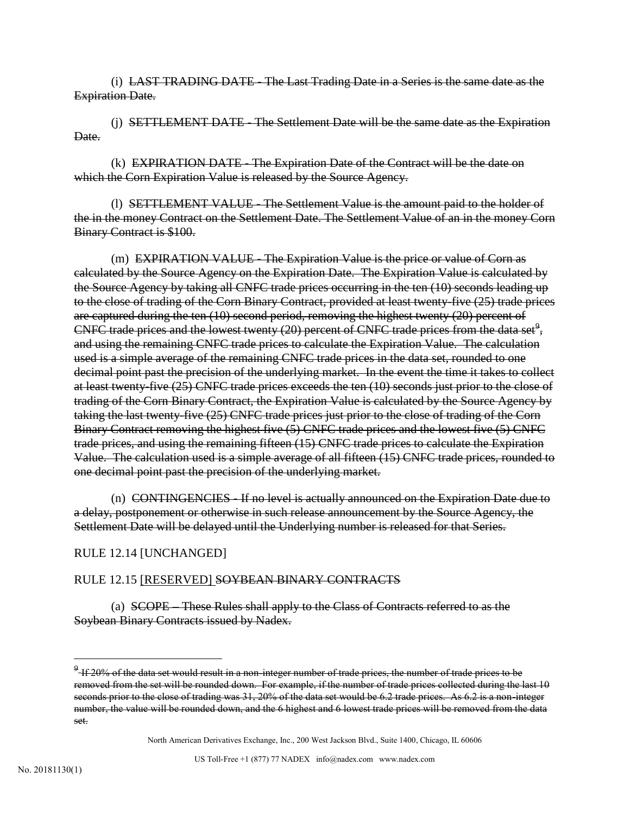(i) LAST TRADING DATE - The Last Trading Date in a Series is the same date as the Expiration Date.

(j) SETTLEMENT DATE - The Settlement Date will be the same date as the Expiration Date.

(k) EXPIRATION DATE - The Expiration Date of the Contract will be the date on which the Corn Expiration Value is released by the Source Agency.

(l) SETTLEMENT VALUE - The Settlement Value is the amount paid to the holder of the in the money Contract on the Settlement Date. The Settlement Value of an in the money Corn Binary Contract is \$100.

(m) EXPIRATION VALUE - The Expiration Value is the price or value of Corn as calculated by the Source Agency on the Expiration Date. The Expiration Value is calculated by the Source Agency by taking all CNFC trade prices occurring in the ten (10) seconds leading up to the close of trading of the Corn Binary Contract, provided at least twenty-five (25) trade prices are captured during the ten (10) second period, removing the highest twenty (20) percent of CNFC trade prices and the lowest twenty (20) percent of CNFC trade prices from the data set<sup>9</sup>, and using the remaining CNFC trade prices to calculate the Expiration Value. The calculation used is a simple average of the remaining CNFC trade prices in the data set, rounded to one decimal point past the precision of the underlying market. In the event the time it takes to collect at least twenty-five (25) CNFC trade prices exceeds the ten (10) seconds just prior to the close of trading of the Corn Binary Contract, the Expiration Value is calculated by the Source Agency by taking the last twenty-five (25) CNFC trade prices just prior to the close of trading of the Corn Binary Contract removing the highest five (5) CNFC trade prices and the lowest five (5) CNFC trade prices, and using the remaining fifteen (15) CNFC trade prices to calculate the Expiration Value. The calculation used is a simple average of all fifteen (15) CNFC trade prices, rounded to one decimal point past the precision of the underlying market.

(n) CONTINGENCIES - If no level is actually announced on the Expiration Date due to a delay, postponement or otherwise in such release announcement by the Source Agency, the Settlement Date will be delayed until the Underlying number is released for that Series.

### RULE 12.14 [UNCHANGED]

#### RULE 12.15 [RESERVED] SOYBEAN BINARY CONTRACTS

(a) SCOPE – These Rules shall apply to the Class of Contracts referred to as the Soybean Binary Contracts issued by Nadex.

 $^9$ -If 20% of the data set would result in a non-integer number of trade prices, the number of trade prices to be removed from the set will be rounded down. For example, if the number of trade prices collected during the last 10 seconds prior to the close of trading was 31, 20% of the data set would be 6.2 trade prices. As 6.2 is a non-integer number, the value will be rounded down, and the 6 highest and 6 lowest trade prices will be removed from the data set.

North American Derivatives Exchange, Inc., 200 West Jackson Blvd., Suite 1400, Chicago, IL 60606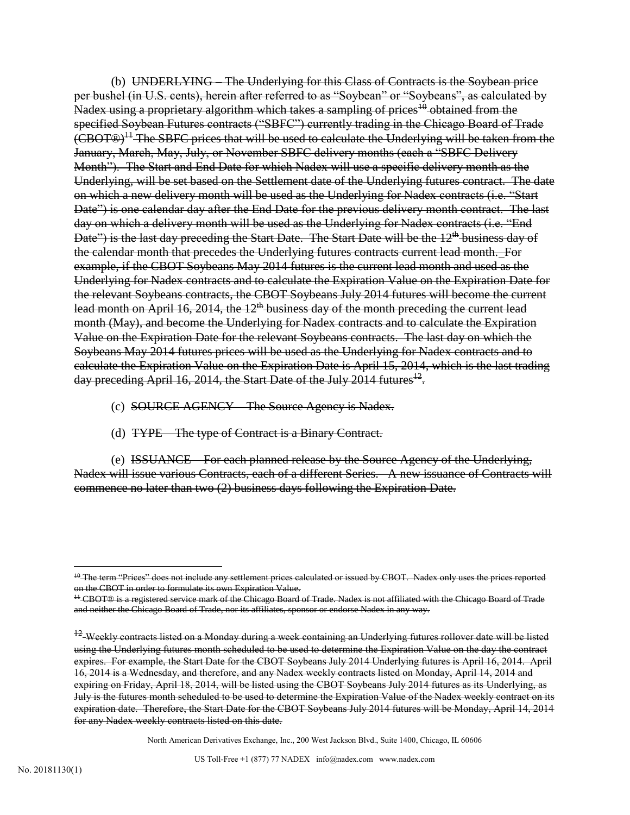(b) UNDERLYING – The Underlying for this Class of Contracts is the Soybean price per bushel (in U.S. cents), herein after referred to as "Soybean" or "Soybeans", as calculated by Nadex using a proprietary algorithm which takes a sampling of prices<sup>10</sup> obtained from the specified Soybean Futures contracts ("SBFC") currently trading in the Chicago Board of Trade  $(\text{CBOT@})$ <sup> $\text{++}$ </sup> The SBFC prices that will be used to calculate the Underlying will be taken from the January, March, May, July, or November SBFC delivery months (each a "SBFC Delivery Month"). The Start and End Date for which Nadex will use a specific delivery month as the Underlying, will be set based on the Settlement date of the Underlying futures contract. The date on which a new delivery month will be used as the Underlying for Nadex contracts (i.e. "Start Date") is one calendar day after the End Date for the previous delivery month contract. The last day on which a delivery month will be used as the Underlying for Nadex contracts (i.e. "End Date") is the last day preceding the Start Date. The Start Date will be the  $12<sup>th</sup>$  business day of the calendar month that precedes the Underlying futures contracts current lead month. For example, if the CBOT Soybeans May 2014 futures is the current lead month and used as the Underlying for Nadex contracts and to calculate the Expiration Value on the Expiration Date for the relevant Soybeans contracts, the CBOT Soybeans July 2014 futures will become the current lead month on April 16, 2014, the  $12<sup>th</sup>$  business day of the month preceding the current lead month (May), and become the Underlying for Nadex contracts and to calculate the Expiration Value on the Expiration Date for the relevant Soybeans contracts. The last day on which the Soybeans May 2014 futures prices will be used as the Underlying for Nadex contracts and to calculate the Expiration Value on the Expiration Date is April 15, 2014, which is the last trading day preceding April 16, 2014, the Start Date of the July 2014 futures<sup>12</sup>.

- (c) SOURCE AGENCY The Source Agency is Nadex.
- (d) TYPE The type of Contract is a Binary Contract.

(e) ISSUANCE – For each planned release by the Source Agency of the Underlying, Nadex will issue various Contracts, each of a different Series. A new issuance of Contracts will commence no later than two (2) business days following the Expiration Date.

<sup>&</sup>lt;sup>10</sup> The term "Prices" does not include any settlement prices calculated or issued by CBOT. Nadex only uses the prices reported on the CBOT in order to formulate its own Expiration Value.

<sup>&</sup>lt;sup>11</sup> CBOT® is a registered service mark of the Chicago Board of Trade. Nadex is not affiliated with the Chicago Board of Trade and neither the Chicago Board of Trade, nor its affiliates, sponsor or endorse Nadex in any way.

<sup>&</sup>lt;sup>12</sup>-Weekly contracts listed on a Monday during a week containing an Underlying futures rollover date will be listed using the Underlying futures month scheduled to be used to determine the Expiration Value on the day the contract expires. For example, the Start Date for the CBOT Soybeans July 2014 Underlying futures is April 16, 2014. April 16, 2014 is a Wednesday, and therefore, and any Nadex weekly contracts listed on Monday, April 14, 2014 and expiring on Friday, April 18, 2014, will be listed using the CBOT Soybeans July 2014 futures as its Underlying, as July is the futures month scheduled to be used to determine the Expiration Value of the Nadex weekly contract on its expiration date. Therefore, the Start Date for the CBOT Soybeans July 2014 futures will be Monday, April 14, 2014 for any Nadex weekly contracts listed on this date.

North American Derivatives Exchange, Inc., 200 West Jackson Blvd., Suite 1400, Chicago, IL 60606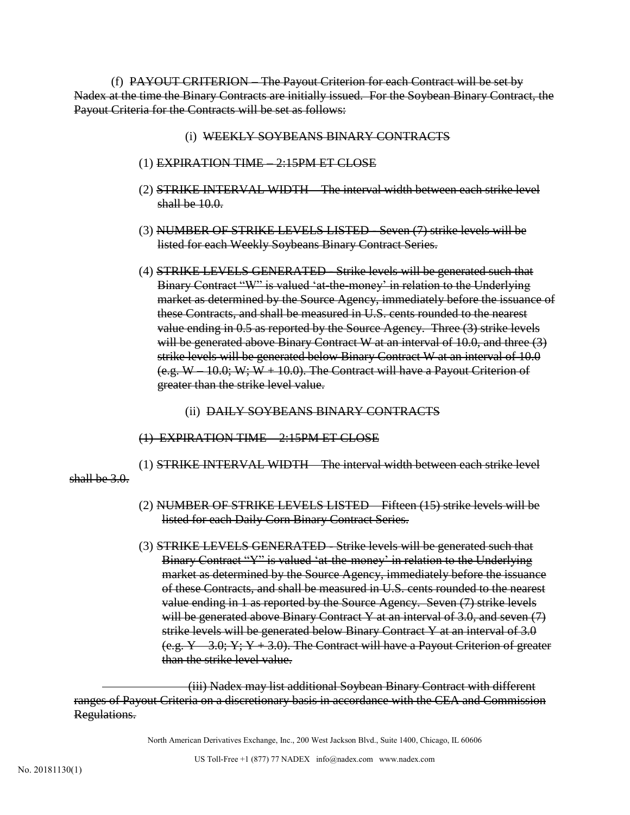(f) PAYOUT CRITERION – The Payout Criterion for each Contract will be set by Nadex at the time the Binary Contracts are initially issued. For the Soybean Binary Contract, the Payout Criteria for the Contracts will be set as follows:

- (i) WEEKLY SOYBEANS BINARY CONTRACTS
- (1) EXPIRATION TIME 2:15PM ET CLOSE
- (2) STRIKE INTERVAL WIDTH The interval width between each strike level shall be  $10.0$ .
- (3) NUMBER OF STRIKE LEVELS LISTED Seven (7) strike levels will be listed for each Weekly Soybeans Binary Contract Series.
- (4) STRIKE LEVELS GENERATED Strike levels will be generated such that Binary Contract "W" is valued 'at-the-money' in relation to the Underlying market as determined by the Source Agency, immediately before the issuance of these Contracts, and shall be measured in U.S. cents rounded to the nearest value ending in 0.5 as reported by the Source Agency. Three (3) strike levels will be generated above Binary Contract W at an interval of 10.0, and three  $(3)$ strike levels will be generated below Binary Contract W at an interval of 10.0  $(e.g. W - 10.0; W; W + 10.0)$ . The Contract will have a Payout Criterion of greater than the strike level value.
	- (ii) DAILY SOYBEANS BINARY CONTRACTS
- (1) EXPIRATION TIME 2:15PM ET CLOSE

(1) STRIKE INTERVAL WIDTH – The interval width between each strike level shall be  $3.0$ .

- (2) NUMBER OF STRIKE LEVELS LISTED Fifteen (15) strike levels will be listed for each Daily Corn Binary Contract Series.
- (3) STRIKE LEVELS GENERATED Strike levels will be generated such that Binary Contract "Y" is valued 'at-the-money' in relation to the Underlying market as determined by the Source Agency, immediately before the issuance of these Contracts, and shall be measured in U.S. cents rounded to the nearest value ending in 1 as reported by the Source Agency. Seven (7) strike levels will be generated above Binary Contract Y at an interval of 3.0, and seven (7) strike levels will be generated below Binary Contract Y at an interval of 3.0 (e.g.  $Y - 3.0$ ;  $Y$ ;  $Y + 3.0$ ). The Contract will have a Payout Criterion of greater than the strike level value.

 (iii) Nadex may list additional Soybean Binary Contract with different ranges of Payout Criteria on a discretionary basis in accordance with the CEA and Commission Regulations.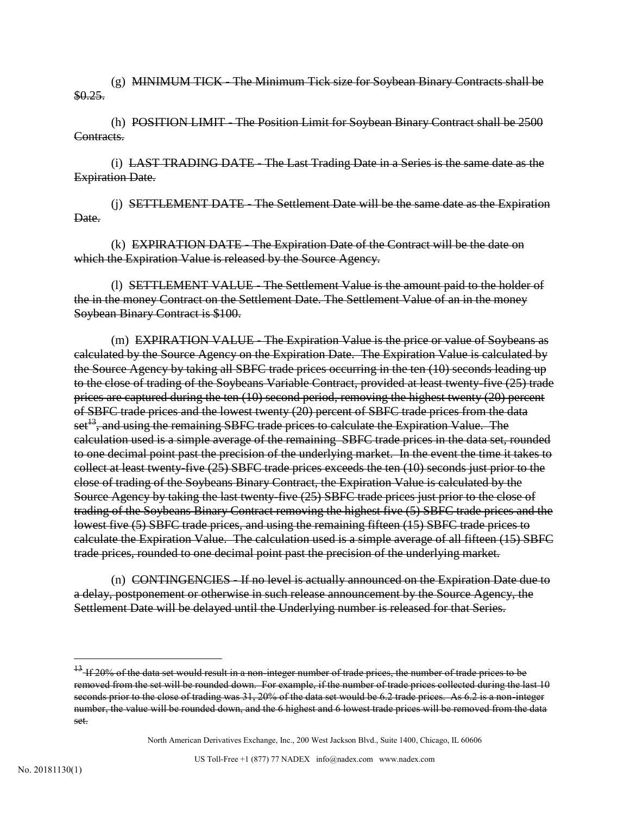(g) MINIMUM TICK - The Minimum Tick size for Soybean Binary Contracts shall be \$0.25.

(h) POSITION LIMIT - The Position Limit for Soybean Binary Contract shall be 2500 Contracts.

(i) LAST TRADING DATE - The Last Trading Date in a Series is the same date as the Expiration Date.

(j) SETTLEMENT DATE - The Settlement Date will be the same date as the Expiration Date.

(k) EXPIRATION DATE - The Expiration Date of the Contract will be the date on which the Expiration Value is released by the Source Agency.

(l) SETTLEMENT VALUE - The Settlement Value is the amount paid to the holder of the in the money Contract on the Settlement Date. The Settlement Value of an in the money Soybean Binary Contract is \$100.

(m) EXPIRATION VALUE - The Expiration Value is the price or value of Soybeans as calculated by the Source Agency on the Expiration Date. The Expiration Value is calculated by the Source Agency by taking all SBFC trade prices occurring in the ten (10) seconds leading up to the close of trading of the Soybeans Variable Contract, provided at least twenty-five (25) trade prices are captured during the ten (10) second period, removing the highest twenty (20) percent of SBFC trade prices and the lowest twenty (20) percent of SBFC trade prices from the data set<sup> $+3$ </sup>, and using the remaining SBFC trade prices to calculate the Expiration Value. The calculation used is a simple average of the remaining SBFC trade prices in the data set, rounded to one decimal point past the precision of the underlying market. In the event the time it takes to collect at least twenty-five (25) SBFC trade prices exceeds the ten (10) seconds just prior to the close of trading of the Soybeans Binary Contract, the Expiration Value is calculated by the Source Agency by taking the last twenty-five (25) SBFC trade prices just prior to the close of trading of the Soybeans Binary Contract removing the highest five (5) SBFC trade prices and the lowest five (5) SBFC trade prices, and using the remaining fifteen (15) SBFC trade prices to calculate the Expiration Value. The calculation used is a simple average of all fifteen (15) SBFC trade prices, rounded to one decimal point past the precision of the underlying market.

(n) CONTINGENCIES - If no level is actually announced on the Expiration Date due to a delay, postponement or otherwise in such release announcement by the Source Agency, the Settlement Date will be delayed until the Underlying number is released for that Series.

<sup>&</sup>lt;sup>13</sup>-If 20% of the data set would result in a non-integer number of trade prices, the number of trade prices to be removed from the set will be rounded down. For example, if the number of trade prices collected during the last 10 seconds prior to the close of trading was 31, 20% of the data set would be 6.2 trade prices. As 6.2 is a non-integer number, the value will be rounded down, and the 6 highest and 6 lowest trade prices will be removed from the data set.

North American Derivatives Exchange, Inc., 200 West Jackson Blvd., Suite 1400, Chicago, IL 60606